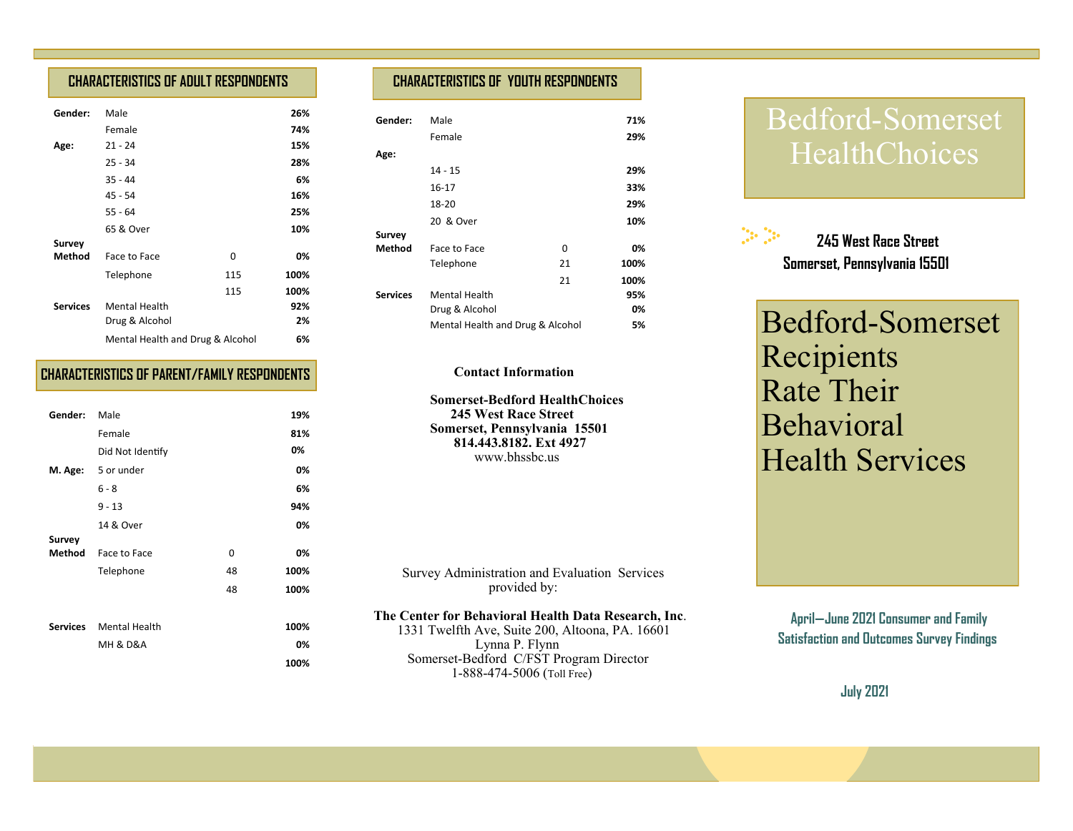## **CHARACTERISTICS OF ADULT RESPONDENTS**

| Gender:         | Male                             |     | 26%  |
|-----------------|----------------------------------|-----|------|
|                 | Female                           |     | 74%  |
| Age:            | $21 - 24$                        |     | 15%  |
|                 | $25 - 34$                        |     | 28%  |
|                 | $35 - 44$                        |     | 6%   |
|                 | 45 - 54                          |     | 16%  |
|                 | $55 - 64$                        |     | 25%  |
|                 | 65 & Over                        |     | 10%  |
| Survey          |                                  |     |      |
| <b>Method</b>   | Face to Face                     | 0   | 0%   |
|                 | Telephone                        | 115 | 100% |
|                 |                                  | 115 | 100% |
| <b>Services</b> | <b>Mental Health</b>             |     | 92%  |
|                 | Drug & Alcohol                   |     | 2%   |
|                 | Mental Health and Drug & Alcohol |     | 6%   |

## **CHARACTERISTICS OF PARENT/FAMILY RESPONDENTS**

| Gender:         | Male                    |    | 19%  |
|-----------------|-------------------------|----|------|
|                 | Female                  |    | 81%  |
|                 | Did Not Identify        |    | 0%   |
|                 | M. Age: 5 or under      |    | 0%   |
|                 | $6 - 8$                 |    | 6%   |
|                 | $9 - 13$                |    | 94%  |
|                 | 14 & Over               |    | 0%   |
| Survey          |                         |    |      |
| Method          | Face to Face            | 0  | 0%   |
|                 | Telephone               | 48 | 100% |
|                 |                         | 48 | 100% |
|                 |                         |    |      |
| <b>Services</b> | Mental Health           |    | 100% |
|                 | <b>MH &amp; D&amp;A</b> |    | 0%   |
|                 |                         |    | 100% |

# **CHARACTERISTICS OF YOUTH RESPONDENTS**

| Gender:         | Male                             |    | 71%  |
|-----------------|----------------------------------|----|------|
|                 | Female                           |    | 29%  |
| Age:            |                                  |    |      |
|                 | 14 - 15                          |    | 29%  |
|                 | $16 - 17$                        |    | 33%  |
|                 | 18-20                            |    | 29%  |
|                 | 20 & Over                        |    | 10%  |
| Survey          |                                  |    |      |
| <b>Method</b>   | Face to Face                     | 0  | 0%   |
|                 | Telephone                        | 21 | 100% |
|                 |                                  | 21 | 100% |
| <b>Services</b> | <b>Mental Health</b>             |    | 95%  |
|                 | Drug & Alcohol                   |    | 0%   |
|                 | Mental Health and Drug & Alcohol |    | 5%   |

### **Contact Information**

 **Somerset-Bedford HealthChoices 245 West Race Street Somerset, Pennsylvania 15501 814.443.8182. Ext 4927** www.bhssbc.us

 Survey Administration and Evaluation Services provided by:

## **The Center for Behavioral Health Data Research, Inc**.

 1331 Twelfth Ave, Suite 200, Altoona, PA. 16601 Lynna P. Flynn Somerset-Bedford C/FST Program Director 1-888-474-5006 (Toll Free)

# Bedford-Somerset **HealthChoices**

 $\mathbb{R}^n$  **245 West Race Street Somerset, Pennsylvania 15501**

Bedford-Somerset Recipients Rate Their Behavioral Health Services

**April—June 2021 Consumer and Family Satisfaction and Outcomes Survey Findings** 

 **July 2021**